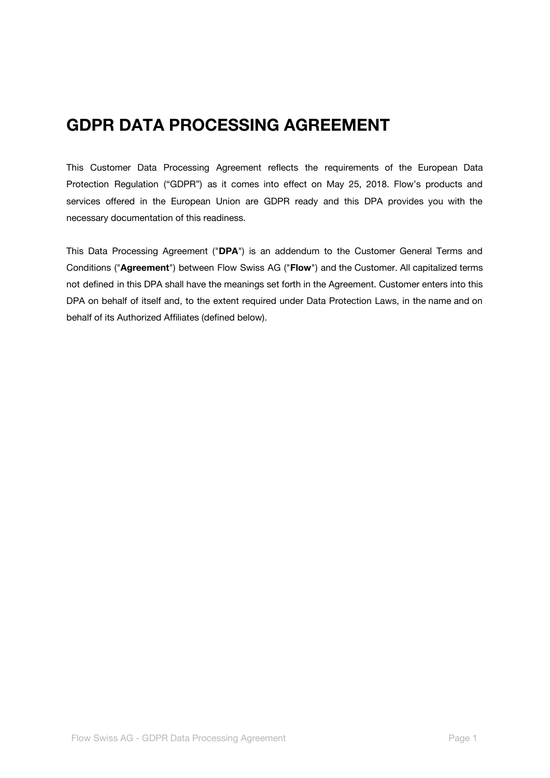# **GDPR DATA PROCESSING AGREEMENT**

This Customer Data Processing Agreement reflects the requirements of the European Data Protection Regulation ("GDPR") as it comes into effect on May 25, 2018. Flow's products and services offered in the European Union are GDPR ready and this DPA provides you with the necessary documentation of this readiness.

This Data Processing Agreement ("**DPA**") is an addendum to the Customer General Terms and Conditions ("**Agreement**") between Flow Swiss AG ("**Flow**") and the Customer. All capitalized terms not defined in this DPA shall have the meanings set forth in the Agreement. Customer enters into this DPA on behalf of itself and, to the extent required under Data Protection Laws, in the name and on behalf of its Authorized Affiliates (defined below).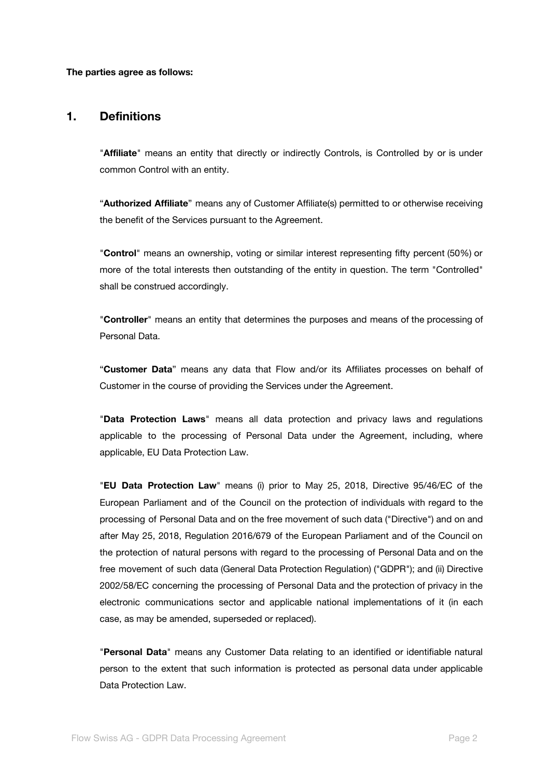**The parties agree as follows:**

#### **1. Definitions**

"**Affiliate**" means an entity that directly or indirectly Controls, is Controlled by or is under common Control with an entity.

"**Authorized Affiliate**" means any of Customer Affiliate(s) permitted to or otherwise receiving the benefit of the Services pursuant to the Agreement.

"**Control**" means an ownership, voting or similar interest representing fifty percent (50%) or more of the total interests then outstanding of the entity in question. The term "Controlled" shall be construed accordingly.

"**Controller**" means an entity that determines the purposes and means of the processing of Personal Data.

"**Customer Data**" means any data that Flow and/or its Affiliates processes on behalf of Customer in the course of providing the Services under the Agreement.

"**Data Protection Laws**" means all data protection and privacy laws and regulations applicable to the processing of Personal Data under the Agreement, including, where applicable, EU Data Protection Law.

"**EU Data Protection Law**" means (i) prior to May 25, 2018, Directive 95/46/EC of the European Parliament and of the Council on the protection of individuals with regard to the processing of Personal Data and on the free movement of such data ("Directive") and on and after May 25, 2018, Regulation 2016/679 of the European Parliament and of the Council on the protection of natural persons with regard to the processing of Personal Data and on the free movement of such data (General Data Protection Regulation) ("GDPR"); and (ii) Directive 2002/58/EC concerning the processing of Personal Data and the protection of privacy in the electronic communications sector and applicable national implementations of it (in each case, as may be amended, superseded or replaced).

"**Personal Data**" means any Customer Data relating to an identified or identifiable natural person to the extent that such information is protected as personal data under applicable Data Protection Law.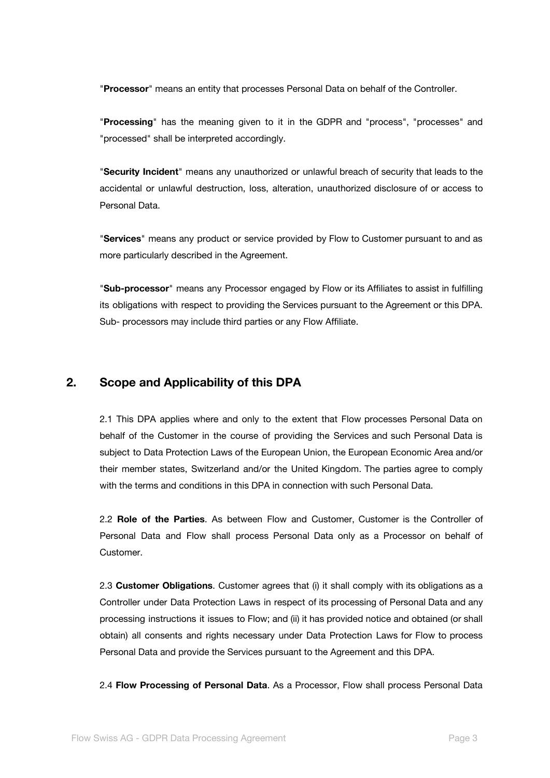"**Processor**" means an entity that processes Personal Data on behalf of the Controller.

"**Processing**" has the meaning given to it in the GDPR and "process", "processes" and "processed" shall be interpreted accordingly.

"**Security Incident**" means any unauthorized or unlawful breach of security that leads to the accidental or unlawful destruction, loss, alteration, unauthorized disclosure of or access to Personal Data.

"**Services**" means any product or service provided by Flow to Customer pursuant to and as more particularly described in the Agreement.

"**Sub-processor**" means any Processor engaged by Flow or its Affiliates to assist in fulfilling its obligations with respect to providing the Services pursuant to the Agreement or this DPA. Sub- processors may include third parties or any Flow Affiliate.

#### **2. Scope and Applicability of this DPA**

2.1 This DPA applies where and only to the extent that Flow processes Personal Data on behalf of the Customer in the course of providing the Services and such Personal Data is subject to Data Protection Laws of the European Union, the European Economic Area and/or their member states, Switzerland and/or the United Kingdom. The parties agree to comply with the terms and conditions in this DPA in connection with such Personal Data.

2.2 **Role of the Parties**. As between Flow and Customer, Customer is the Controller of Personal Data and Flow shall process Personal Data only as a Processor on behalf of Customer.

2.3 **Customer Obligations**. Customer agrees that (i) it shall comply with its obligations as a Controller under Data Protection Laws in respect of its processing of Personal Data and any processing instructions it issues to Flow; and (ii) it has provided notice and obtained (or shall obtain) all consents and rights necessary under Data Protection Laws for Flow to process Personal Data and provide the Services pursuant to the Agreement and this DPA.

2.4 **Flow Processing of Personal Data**. As a Processor, Flow shall process Personal Data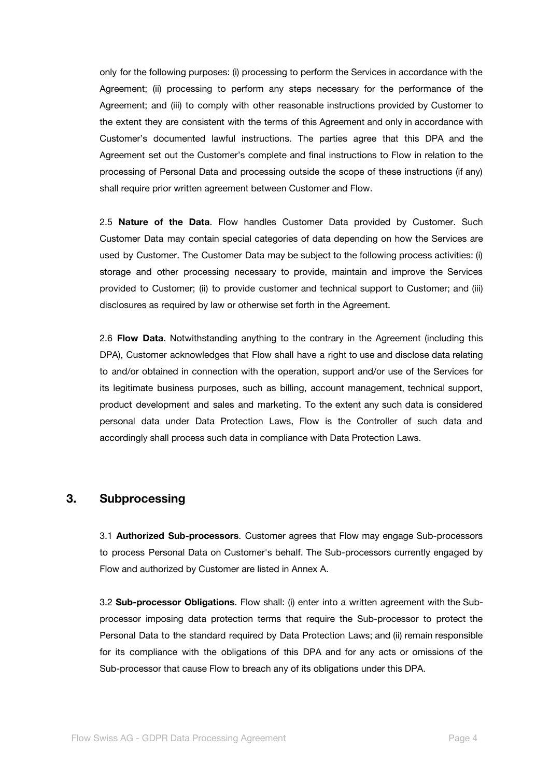only for the following purposes: (i) processing to perform the Services in accordance with the Agreement; (ii) processing to perform any steps necessary for the performance of the Agreement; and (iii) to comply with other reasonable instructions provided by Customer to the extent they are consistent with the terms of this Agreement and only in accordance with Customer's documented lawful instructions. The parties agree that this DPA and the Agreement set out the Customer's complete and final instructions to Flow in relation to the processing of Personal Data and processing outside the scope of these instructions (if any) shall require prior written agreement between Customer and Flow.

2.5 **Nature of the Data**. Flow handles Customer Data provided by Customer. Such Customer Data may contain special categories of data depending on how the Services are used by Customer. The Customer Data may be subject to the following process activities: (i) storage and other processing necessary to provide, maintain and improve the Services provided to Customer; (ii) to provide customer and technical support to Customer; and (iii) disclosures as required by law or otherwise set forth in the Agreement.

2.6 **Flow Data**. Notwithstanding anything to the contrary in the Agreement (including this DPA), Customer acknowledges that Flow shall have a right to use and disclose data relating to and/or obtained in connection with the operation, support and/or use of the Services for its legitimate business purposes, such as billing, account management, technical support, product development and sales and marketing. To the extent any such data is considered personal data under Data Protection Laws, Flow is the Controller of such data and accordingly shall process such data in compliance with Data Protection Laws.

#### **3. Subprocessing**

3.1 **Authorized Sub-processors**. Customer agrees that Flow may engage Sub-processors to process Personal Data on Customer's behalf. The Sub-processors currently engaged by Flow and authorized by Customer are listed in Annex A.

3.2 **Sub-processor Obligations**. Flow shall: (i) enter into a written agreement with the Subprocessor imposing data protection terms that require the Sub-processor to protect the Personal Data to the standard required by Data Protection Laws; and (ii) remain responsible for its compliance with the obligations of this DPA and for any acts or omissions of the Sub-processor that cause Flow to breach any of its obligations under this DPA.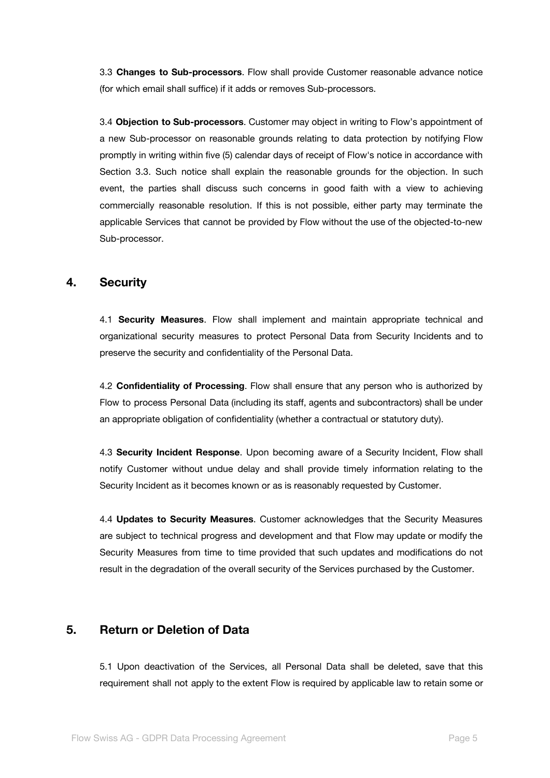3.3 **Changes to Sub-processors**. Flow shall provide Customer reasonable advance notice (for which email shall suffice) if it adds or removes Sub-processors.

3.4 **Objection to Sub-processors**. Customer may object in writing to Flow's appointment of a new Sub-processor on reasonable grounds relating to data protection by notifying Flow promptly in writing within five (5) calendar days of receipt of Flow's notice in accordance with Section 3.3. Such notice shall explain the reasonable grounds for the objection. In such event, the parties shall discuss such concerns in good faith with a view to achieving commercially reasonable resolution. If this is not possible, either party may terminate the applicable Services that cannot be provided by Flow without the use of the objected-to-new Sub-processor.

#### **4. Security**

4.1 **Security Measures**. Flow shall implement and maintain appropriate technical and organizational security measures to protect Personal Data from Security Incidents and to preserve the security and confidentiality of the Personal Data.

4.2 **Confidentiality of Processing**. Flow shall ensure that any person who is authorized by Flow to process Personal Data (including its staff, agents and subcontractors) shall be under an appropriate obligation of confidentiality (whether a contractual or statutory duty).

4.3 **Security Incident Response**. Upon becoming aware of a Security Incident, Flow shall notify Customer without undue delay and shall provide timely information relating to the Security Incident as it becomes known or as is reasonably requested by Customer.

4.4 **Updates to Security Measures**. Customer acknowledges that the Security Measures are subject to technical progress and development and that Flow may update or modify the Security Measures from time to time provided that such updates and modifications do not result in the degradation of the overall security of the Services purchased by the Customer.

## **5. Return or Deletion of Data**

5.1 Upon deactivation of the Services, all Personal Data shall be deleted, save that this requirement shall not apply to the extent Flow is required by applicable law to retain some or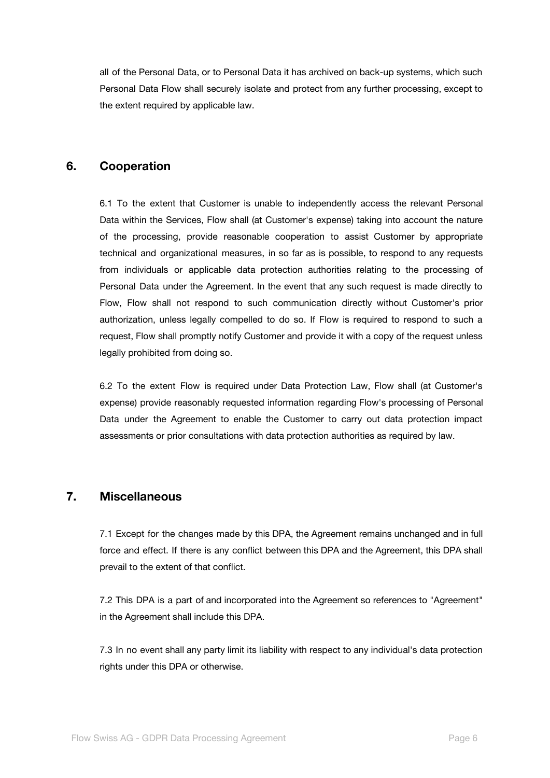all of the Personal Data, or to Personal Data it has archived on back-up systems, which such Personal Data Flow shall securely isolate and protect from any further processing, except to the extent required by applicable law.

## **6. Cooperation**

6.1 To the extent that Customer is unable to independently access the relevant Personal Data within the Services, Flow shall (at Customer's expense) taking into account the nature of the processing, provide reasonable cooperation to assist Customer by appropriate technical and organizational measures, in so far as is possible, to respond to any requests from individuals or applicable data protection authorities relating to the processing of Personal Data under the Agreement. In the event that any such request is made directly to Flow, Flow shall not respond to such communication directly without Customer's prior authorization, unless legally compelled to do so. If Flow is required to respond to such a request, Flow shall promptly notify Customer and provide it with a copy of the request unless legally prohibited from doing so.

6.2 To the extent Flow is required under Data Protection Law, Flow shall (at Customer's expense) provide reasonably requested information regarding Flow's processing of Personal Data under the Agreement to enable the Customer to carry out data protection impact assessments or prior consultations with data protection authorities as required by law.

# **7. Miscellaneous**

7.1 Except for the changes made by this DPA, the Agreement remains unchanged and in full force and effect. If there is any conflict between this DPA and the Agreement, this DPA shall prevail to the extent of that conflict.

7.2 This DPA is a part of and incorporated into the Agreement so references to "Agreement" in the Agreement shall include this DPA.

7.3 In no event shall any party limit its liability with respect to any individual's data protection rights under this DPA or otherwise.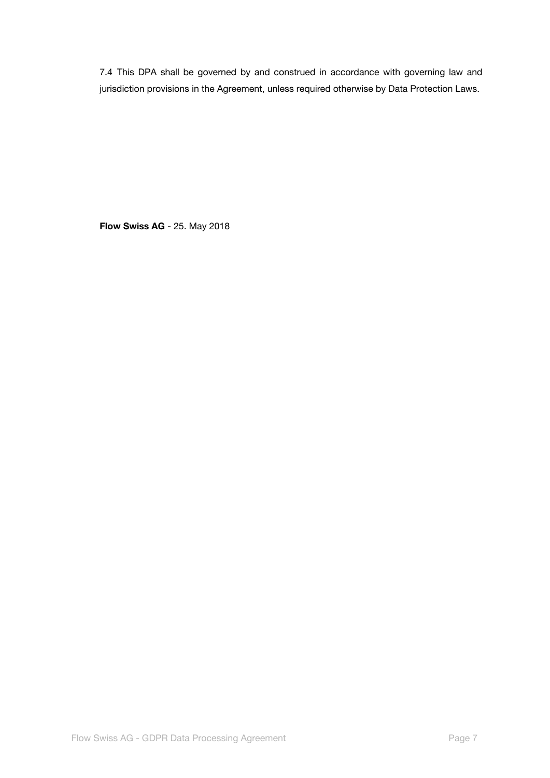7.4 This DPA shall be governed by and construed in accordance with governing law and jurisdiction provisions in the Agreement, unless required otherwise by Data Protection Laws.

**Flow Swiss AG** - 25. May 2018